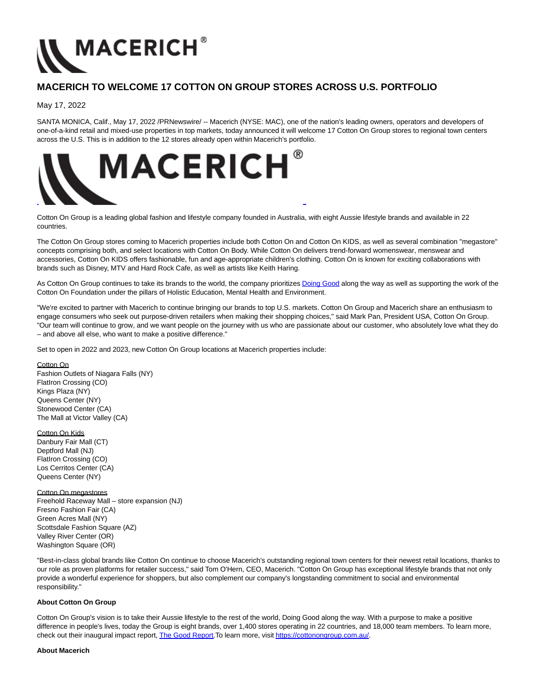

# **MACERICH TO WELCOME 17 COTTON ON GROUP STORES ACROSS U.S. PORTFOLIO**

## May 17, 2022

SANTA MONICA, Calif., May 17, 2022 /PRNewswire/ -- Macerich (NYSE: MAC), one of the nation's leading owners, operators and developers of one-of-a-kind retail and mixed-use properties in top markets, today announced it will welcome 17 Cotton On Group stores to regional town centers across the U.S. This is in addition to the 12 stores already open within Macerich's portfolio.



Cotton On Group is a leading global fashion and lifestyle company founded in Australia, with eight Aussie lifestyle brands and available in 22 countries.

The Cotton On Group stores coming to Macerich properties include both Cotton On and Cotton On KIDS, as well as several combination "megastore" concepts comprising both, and select locations with Cotton On Body. While Cotton On delivers trend-forward womenswear, menswear and accessories, Cotton On KIDS offers fashionable, fun and age-appropriate children's clothing. Cotton On is known for exciting collaborations with brands such as Disney, MTV and Hard Rock Cafe, as well as artists like Keith Haring.

As Cotton On Group continues to take its brands to the world, the company prioritize[s Doing Good a](https://c212.net/c/link/?t=0&l=en&o=3539329-1&h=144073056&u=https%3A%2F%2Furldefense.com%2Fv3%2F__https%3A%2Fcottonongroup.com.au%2Fwp-content%2Fuploads%2F2021%2F12%2FTHE-GOOD-REPORT-2021.pdf__%3B!!I2FNAXLjng!a9XA0cnxI59yeBx6jLRhyo9P4AtoVQ9ygtN3ZpyDdl6zTloo4XqvBpwG417dj5j1JjfLvXOzx6X5B33CYfNYxNP1PDo%24&a=Doing+Good)long the way as well as supporting the work of the Cotton On Foundation under the pillars of Holistic Education, Mental Health and Environment.

"We're excited to partner with Macerich to continue bringing our brands to top U.S. markets. Cotton On Group and Macerich share an enthusiasm to engage consumers who seek out purpose-driven retailers when making their shopping choices," said Mark Pan, President USA, Cotton On Group. "Our team will continue to grow, and we want people on the journey with us who are passionate about our customer, who absolutely love what they do – and above all else, who want to make a positive difference."

Set to open in 2022 and 2023, new Cotton On Group locations at Macerich properties include:

### Cotton On

Fashion Outlets of Niagara Falls (NY) FlatIron Crossing (CO) Kings Plaza (NY) Queens Center (NY) Stonewood Center (CA) The Mall at Victor Valley (CA)

Cotton On Kids Danbury Fair Mall (CT) Deptford Mall (NJ) FlatIron Crossing (CO) Los Cerritos Center (CA) Queens Center (NY)

Cotton On megastores Freehold Raceway Mall – store expansion (NJ) Fresno Fashion Fair (CA) Green Acres Mall (NY) Scottsdale Fashion Square (AZ) Valley River Center (OR) Washington Square (OR)

"Best-in-class global brands like Cotton On continue to choose Macerich's outstanding regional town centers for their newest retail locations, thanks to our role as proven platforms for retailer success," said Tom O'Hern, CEO, Macerich. "Cotton On Group has exceptional lifestyle brands that not only provide a wonderful experience for shoppers, but also complement our company's longstanding commitment to social and environmental responsibility."

### **About Cotton On Group**

Cotton On Group's vision is to take their Aussie lifestyle to the rest of the world, Doing Good along the way. With a purpose to make a positive difference in people's lives, today the Group is eight brands, over 1,400 stores operating in 22 countries, and 18,000 team members. To learn more, check out their inaugural impact report[, The Good Report.T](https://c212.net/c/link/?t=0&l=en&o=3539329-1&h=1177251322&u=https%3A%2F%2Furldefense.com%2Fv3%2F__https%3A%2Fcottonongroup.com.au%2Fwp-content%2Fuploads%2F2021%2F12%2FTHE-GOOD-REPORT-2021.pdf__%3B!!I2FNAXLjng!a9XA0cnxI59yeBx6jLRhyo9P4AtoVQ9ygtN3ZpyDdl6zTloo4XqvBpwG417dj5j1JjfLvXOzx6X5B33CYfNYxNP1PDo%24&a=The+Good+Report)o learn more, visi[t https://cottonongroup.com.au/.](https://c212.net/c/link/?t=0&l=en&o=3539329-1&h=4067400062&u=https%3A%2F%2Furldefense.com%2Fv3%2F__https%3A%2Fcottonongroup.com.au%2F__%3B!!I2FNAXLjng!a9XA0cnxI59yeBx6jLRhyo9P4AtoVQ9ygtN3ZpyDdl6zTloo4XqvBpwG417dj5j1JjfLvXOzx6X5B33CYfNYOltd9YU%24&a=https%3A%2F%2Fcottonongroup.com.au%2F)

#### **About Macerich**